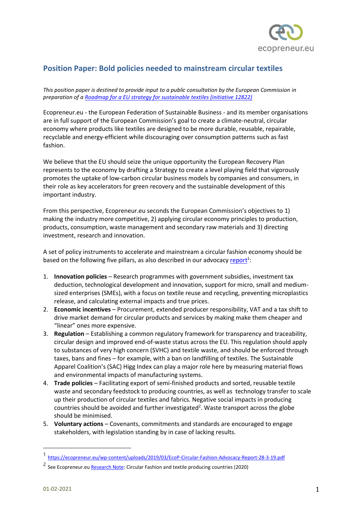

# **Position Paper: Bold policies needed to mainstream circular textiles**

*This position paper is destined to provide input to a public consultation by the European Commission in preparation of a [Roadmap for a EU strategy for sustainable textiles \(initiative 12822\)](https://ec.europa.eu/info/law/better-regulation/have-your-say/initiatives/12822-EU-strategy-for-sustainable-textiles)*

Ecopreneur.eu - the European Federation of Sustainable Business - and its member organisations are in full support of the European Commission's goal to create a climate-neutral, circular economy where products like textiles are designed to be more durable, reusable, repairable, recyclable and energy-efficient while discouraging over consumption patterns such as fast fashion.

We believe that the EU should seize the unique opportunity the European Recovery Plan represents to the economy by drafting a Strategy to create a level playing field that vigorously promotes the uptake of low-carbon circular business models by companies and consumers, in their role as key accelerators for green recovery and the sustainable development of this important industry.

From this perspective, Ecopreneur.eu seconds the European Commission's objectives to 1) making the industry more competitive, 2) applying circular economy principles to production, products, consumption, waste management and secondary raw materials and 3) directing investment, research and innovation.

A set of policy instruments to accelerate and mainstream a circular fashion economy should be based on the following five pillars, as also described in our advocacy [report](https://ecopreneur.eu/wp-content/uploads/2019/03/EcoP-Circular-Fashion-Advocacy-Report-28-3-19.pdf)<sup>1</sup>:

- 1. **Innovation policies** Research programmes with government subsidies, investment tax deduction, technological development and innovation, support for micro, small and mediumsized enterprises (SMEs), with a focus on textile reuse and recycling, preventing microplastics release, and calculating external impacts and true prices.
- 2. **Economic incentives** Procurement, extended producer responsibility, VAT and a tax shift to drive market demand for circular products and services by making make them cheaper and "linear" ones more expensive.
- 3. **Regulation** Establishing a common regulatory framework for transparency and traceability, circular design and improved end-of-waste status across the EU. This regulation should apply to substances of very high concern (SVHC) and textile waste, and should be enforced through taxes, bans and fines – for example, with a ban on landfilling of textiles. The Sustainable Apparel Coalition's (SAC) Higg Index can play a major role here by measuring material flows and environmental impacts of manufacturing systems.
- 4. **Trade policies** Facilitating export of semi-finished products and sorted, reusable textile waste and secondary feedstock to producing countries, as well as technology transfer to scale up their production of circular textiles and fabrics. Negative social impacts in producing countries should be avoided and further investigated<sup>2</sup>. Waste transport across the globe should be minimised.
- 5. **Voluntary actions** Covenants, commitments and standards are encouraged to engage stakeholders, with legislation standing by in case of lacking results.

<sup>1</sup> <https://ecopreneur.eu/wp-content/uploads/2019/03/EcoP-Circular-Fashion-Advocacy-Report-28-3-19.pdf>

<sup>&</sup>lt;sup>2</sup> See Ecopreneur.e[u Research Note:](https://ecopreneur.eu/wp-content/uploads/2020/02/EcopreneurEU-Research-Note-on-Circular-Fashion-Impacts-26-2-2020.pdf) Circular Fashion and textile producing countries (2020)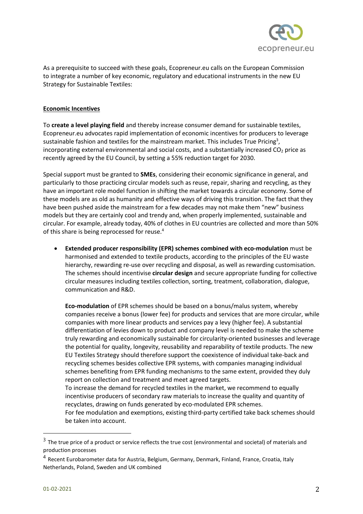

As a prerequisite to succeed with these goals, Ecopreneur.eu calls on the European Commission to integrate a number of key economic, regulatory and educational instruments in the new EU Strategy for Sustainable Textiles:

# **Economic Incentives**

To **create a level playing field** and thereby increase consumer demand for sustainable textiles, Ecopreneur.eu advocates rapid implementation of economic incentives for producers to leverage sustainable fashion and textiles for the mainstream market. This includes True Pricing<sup>3</sup>, incorporating external environmental and social costs, and a substantially increased  $CO<sub>2</sub>$  price as recently agreed by the EU Council, by setting a 55% reduction target for 2030.

Special support must be granted to **SMEs**, considering their economic significance in general, and particularly to those practicing circular models such as reuse, repair, sharing and recycling, as they have an important role model function in shifting the market towards a circular economy. Some of these models are as old as humanity and effective ways of driving this transition. The fact that they have been pushed aside the mainstream for a few decades may not make them "new" business models but they are certainly cool and trendy and, when properly implemented, sustainable and circular. For example, already today, 40% of clothes in EU countries are collected and more than 50% of this share is being reprocessed for reuse.<sup>4</sup>

• **Extended producer responsibility (EPR) schemes combined with eco-modulation** must be harmonised and extended to textile products, according to the principles of the EU waste hierarchy, rewarding re-use over recycling and disposal, as well as rewarding customisation. The schemes should incentivise **circular design** and secure appropriate funding for collective circular measures including textiles collection, sorting, treatment, collaboration, dialogue, communication and R&D.

**Eco-modulation** of EPR schemes should be based on a bonus/malus system, whereby companies receive a bonus (lower fee) for products and services that are more circular, while companies with more linear products and services pay a levy (higher fee). A substantial differentiation of levies down to product and company level is needed to make the scheme truly rewarding and economically sustainable for circularity-oriented businesses and leverage the potential for quality, longevity, reusability and reparability of textile products. The new EU Textiles Strategy should therefore support the coexistence of individual take-back and recycling schemes besides collective EPR systems, with companies managing individual schemes benefiting from EPR funding mechanisms to the same extent, provided they duly report on collection and treatment and meet agreed targets.

To increase the demand for recycled textiles in the market, we recommend to equally incentivise producers of secondary raw materials to increase the quality and quantity of recyclates, drawing on funds generated by eco-modulated EPR schemes.

For fee modulation and exemptions, existing third-party certified take back schemes should be taken into account.

 $3$  The true price of a product or service reflects the true cost (environmental and societal) of materials and production processes

<sup>&</sup>lt;sup>4</sup> Recent Eurobarometer data for Austria, Belgium, Germany, Denmark, Finland, France, Croatia, Italy Netherlands, Poland, Sweden and UK combined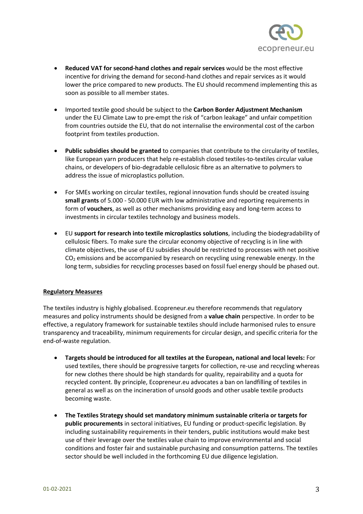

- **Reduced VAT for second-hand clothes and repair services** would be the most effective incentive for driving the demand for second-hand clothes and repair services as it would lower the price compared to new products. The EU should recommend implementing this as soon as possible to all member states.
- Imported textile good should be subject to the **Carbon Border Adjustment Mechanism** under the EU Climate Law to pre-empt the risk of "carbon leakage" and unfair competition from countries outside the EU, that do not internalise the environmental cost of the carbon footprint from textiles production.
- **Public subsidies should be granted** to companies that contribute to the circularity of textiles, like European yarn producers that help re-establish closed textiles-to-textiles circular value chains, or developers of bio-degradable cellulosic fibre as an alternative to polymers to address the issue of microplastics pollution.
- For SMEs working on circular textiles, regional innovation funds should be created issuing **small grants** of 5.000 - 50.000 EUR with low administrative and reporting requirements in form of **vouchers**, as well as other mechanisms providing easy and long-term access to investments in circular textiles technology and business models.
- EU **support for research into textile microplastics solutions**, including the biodegradability of cellulosic fibers. To make sure the circular economy objective of recycling is in line with climate objectives, the use of EU subsidies should be restricted to processes with net positive  $CO<sub>2</sub>$  emissions and be accompanied by research on recycling using renewable energy. In the long term, subsidies for recycling processes based on fossil fuel energy should be phased out.

### **Regulatory Measures**

The textiles industry is highly globalised. Ecopreneur.eu therefore recommends that regulatory measures and policy instruments should be designed from a **value chain** perspective. In order to be effective, a regulatory framework for sustainable textiles should include harmonised rules to ensure transparency and traceability, minimum requirements for circular design, and specific criteria for the end-of-waste regulation.

- **Targets should be introduced for all textiles at the European, national and local levels:** For used textiles, there should be progressive targets for collection, re-use and recycling whereas for new clothes there should be high standards for quality, repairability and a quota for recycled content. By principle, Ecopreneur.eu advocates a ban on landfilling of textiles in general as well as on the incineration of unsold goods and other usable textile products becoming waste.
- **The Textiles Strategy should set mandatory minimum sustainable criteria or targets for public procurements** in sectoral initiatives, EU funding or product-specific legislation. By including sustainability requirements in their tenders, public institutions would make best use of their leverage over the textiles value chain to improve environmental and social conditions and foster fair and sustainable purchasing and consumption patterns. The textiles sector should be well included in the forthcoming EU due diligence legislation.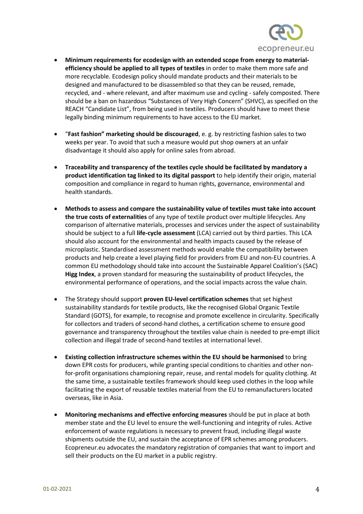

- **Minimum requirements for ecodesign with an extended scope from energy to materialefficiency should be applied to all types of textiles** in order to make them more safe and more recyclable. Ecodesign policy should mandate products and their materials to be designed and manufactured to be disassembled so that they can be reused, remade, recycled, and - where relevant, and after maximum use and cycling - safely composted. There should be a ban on hazardous "Substances of Very High Concern" (SHVC), as specified on the REACH "Candidate List", from being used in textiles. Producers should have to meet these legally binding minimum requirements to have access to the EU market.
- "**Fast fashion" marketing should be discouraged**, e. g. by restricting fashion sales to two weeks per year. To avoid that such a measure would put shop owners at an unfair disadvantage it should also apply for online sales from abroad.
- **Traceability and transparency of the textiles cycle should be facilitated by mandatory a product identification tag linked to its digital passport** to help identify their origin, material composition and compliance in regard to human rights, governance, environmental and health standards.
- **Methods to assess and compare the sustainability value of textiles must take into account the true costs of externalities** of any type of textile product over multiple lifecycles. Any comparison of alternative materials, processes and services under the aspect of sustainability should be subject to a full **life-cycle assessment** (LCA) carried out by third parties. This LCA should also account for the environmental and health impacts caused by the release of microplastic. Standardised assessment methods would enable the compatibility between products and help create a level playing field for providers from EU and non-EU countries. A common EU methodology should take into account the Sustainable Apparel Coalition's (SAC) **Higg Index**, a proven standard for measuring the sustainability of product lifecycles, the environmental performance of operations, and the social impacts across the value chain.
- The Strategy should support **proven EU-level certification schemes** that set highest sustainability standards for textile products, like the recognised Global Organic Textile Standard (GOTS), for example, to recognise and promote excellence in circularity. Specifically for collectors and traders of second-hand clothes, a certification scheme to ensure good governance and transparency throughout the textiles value chain is needed to pre-empt illicit collection and illegal trade of second-hand textiles at international level.
- **Existing collection infrastructure schemes within the EU should be harmonised** to bring down EPR costs for producers, while granting special conditions to charities and other nonfor-profit organisations championing repair, reuse, and rental models for quality clothing. At the same time, a sustainable textiles framework should keep used clothes in the loop while facilitating the export of reusable textiles material from the EU to remanufacturers located overseas, like in Asia.
- **Monitoring mechanisms and effective enforcing measures** should be put in place at both member state and the EU level to ensure the well-functioning and integrity of rules. Active enforcement of waste regulations is necessary to prevent fraud, including illegal waste shipments outside the EU, and sustain the acceptance of EPR schemes among producers. Ecopreneur.eu advocates the mandatory registration of companies that want to import and sell their products on the EU market in a public registry.